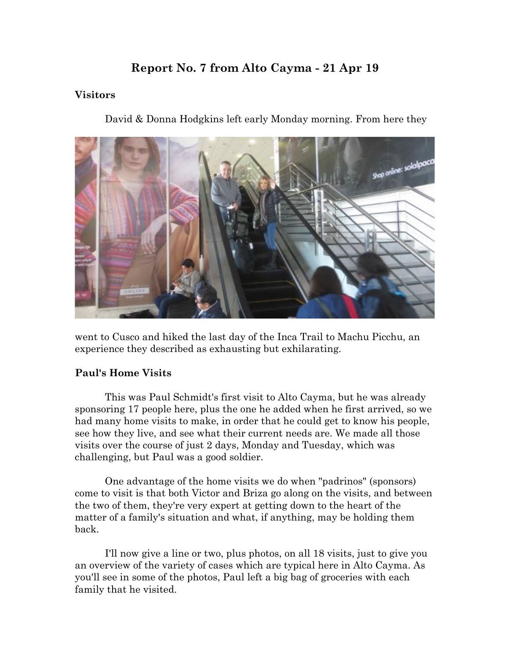# **Report No. 7 from Alto Cayma - 21 Apr 19**

#### **Visitors**

David & Donna Hodgkins left early Monday morning. From here they



went to Cusco and hiked the last day of the Inca Trail to Machu Picchu, an experience they described as exhausting but exhilarating.

#### **Paul's Home Visits**

This was Paul Schmidt's first visit to Alto Cayma, but he was already sponsoring 17 people here, plus the one he added when he first arrived, so we had many home visits to make, in order that he could get to know his people, see how they live, and see what their current needs are. We made all those visits over the course of just 2 days, Monday and Tuesday, which was challenging, but Paul was a good soldier.

One advantage of the home visits we do when "padrinos" (sponsors) come to visit is that both Victor and Briza go along on the visits, and between the two of them, they're very expert at getting down to the heart of the matter of a family's situation and what, if anything, may be holding them back.

I'll now give a line or two, plus photos, on all 18 visits, just to give you an overview of the variety of cases which are typical here in Alto Cayma. As you'll see in some of the photos, Paul left a big bag of groceries with each family that he visited.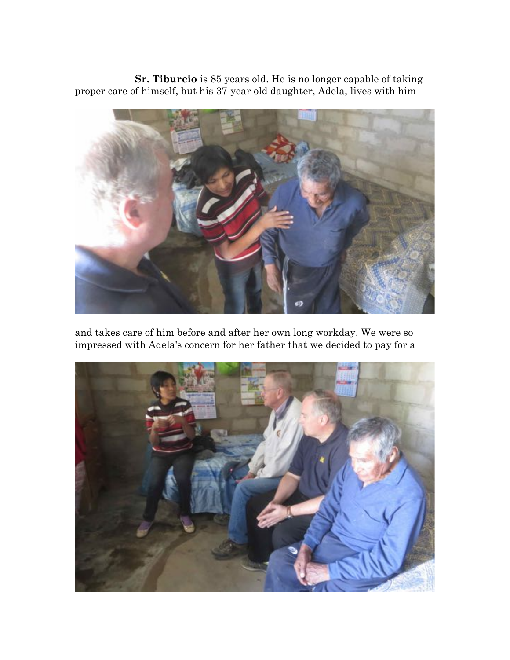**Sr. Tiburcio** is 85 years old. He is no longer capable of taking proper care of himself, but his 37-year old daughter, Adela, lives with him



and takes care of him before and after her own long workday. We were so impressed with Adela's concern for her father that we decided to pay for a

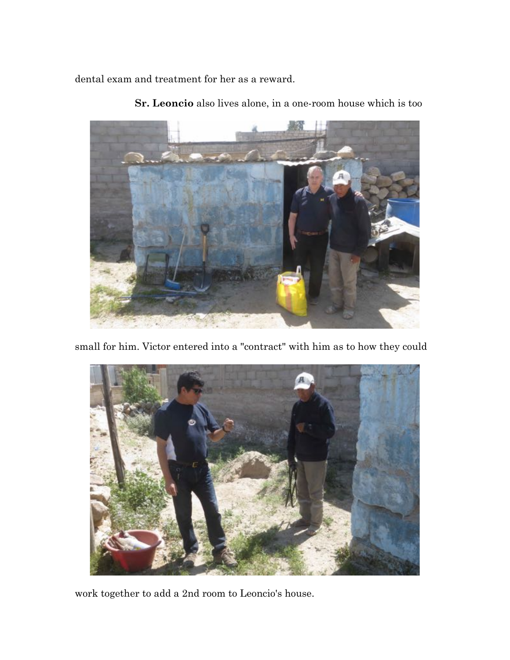dental exam and treatment for her as a reward.



**Sr. Leoncio** also lives alone, in a one-room house which is too

small for him. Victor entered into a "contract" with him as to how they could



work together to add a 2nd room to Leoncio's house.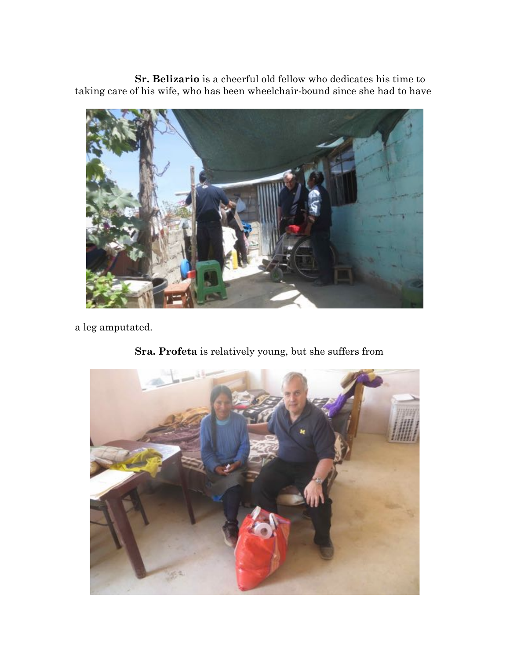**Sr. Belizario** is a cheerful old fellow who dedicates his time to taking care of his wife, who has been wheelchair-bound since she had to have



a leg amputated.



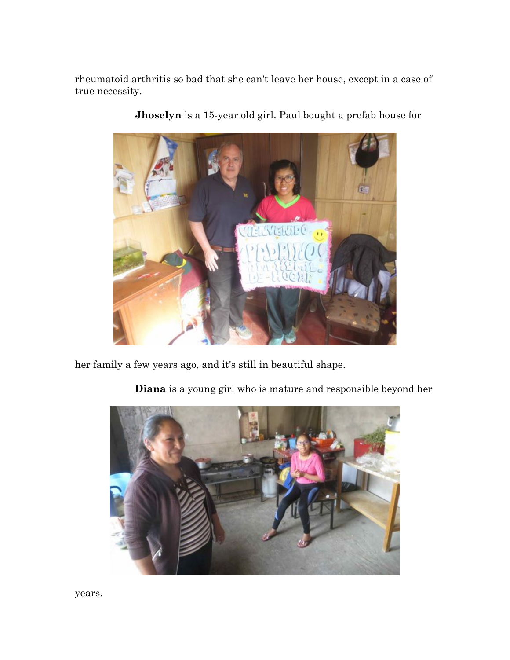rheumatoid arthritis so bad that she can't leave her house, except in a case of true necessity.



**Jhoselyn** is a 15-year old girl. Paul bought a prefab house for

her family a few years ago, and it's still in beautiful shape.

**Diana** is a young girl who is mature and responsible beyond her

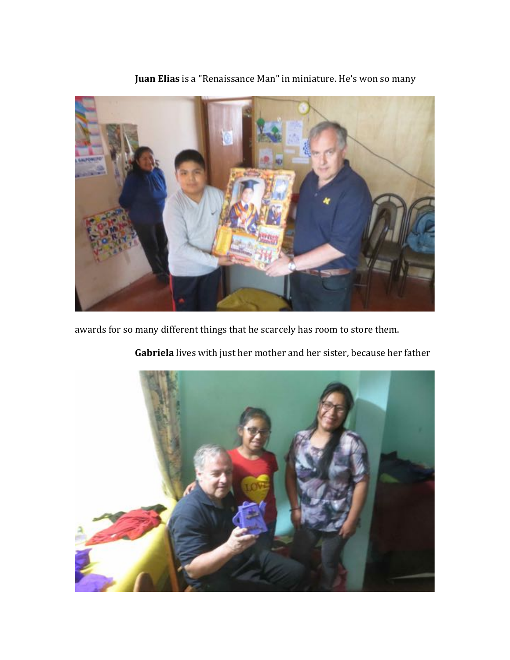

**Juan Elias** is a "Renaissance Man" in miniature. He's won so many

awards for so many different things that he scarcely has room to store them.



**Gabriela** lives with just her mother and her sister, because her father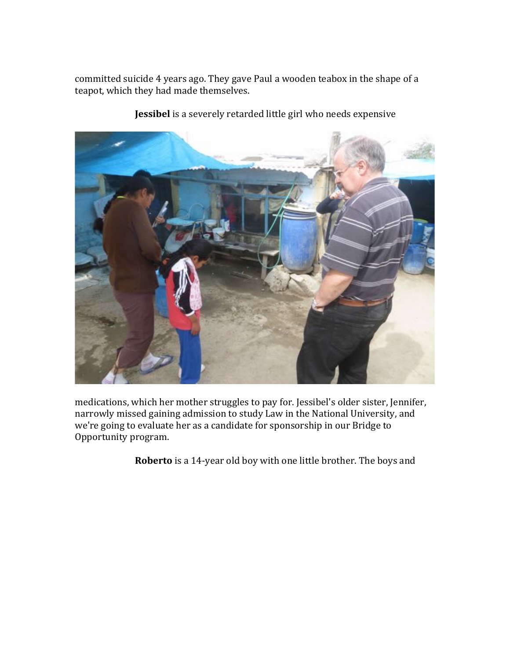committed suicide 4 years ago. They gave Paul a wooden teabox in the shape of a teapot, which they had made themselves.



**Jessibel** is a severely retarded little girl who needs expensive

medications, which her mother struggles to pay for. Jessibel's older sister, Jennifer, narrowly missed gaining admission to study Law in the National University, and we're going to evaluate her as a candidate for sponsorship in our Bridge to Opportunity program.

**Roberto** is a 14-year old boy with one little brother. The boys and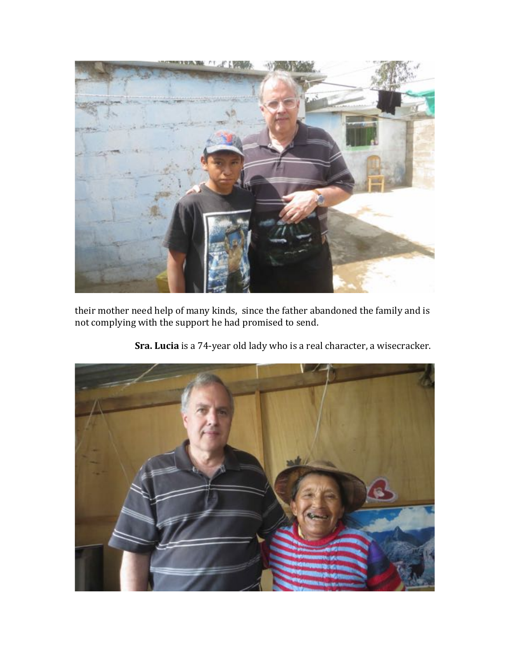

their mother need help of many kinds, since the father abandoned the family and is not complying with the support he had promised to send.



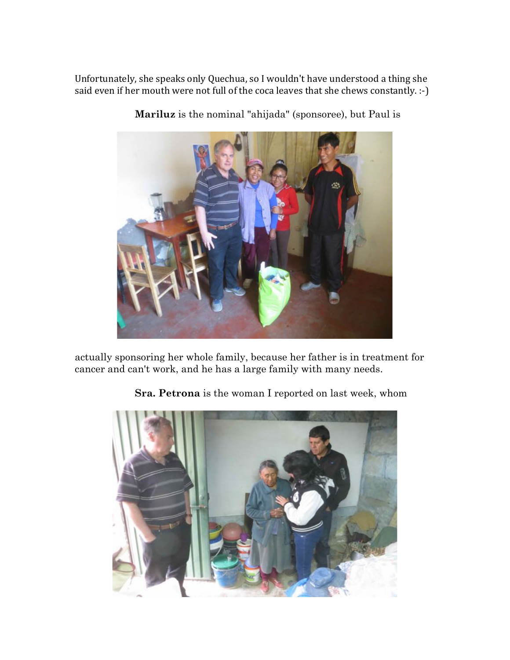Unfortunately, she speaks only Quechua, so I wouldn't have understood a thing she said even if her mouth were not full of the coca leaves that she chews constantly.  $\cdot$ -)



**Mariluz** is the nominal "ahijada" (sponsoree), but Paul is

actually sponsoring her whole family, because her father is in treatment for cancer and can't work, and he has a large family with many needs.

**Sra. Petrona** is the woman I reported on last week, whom

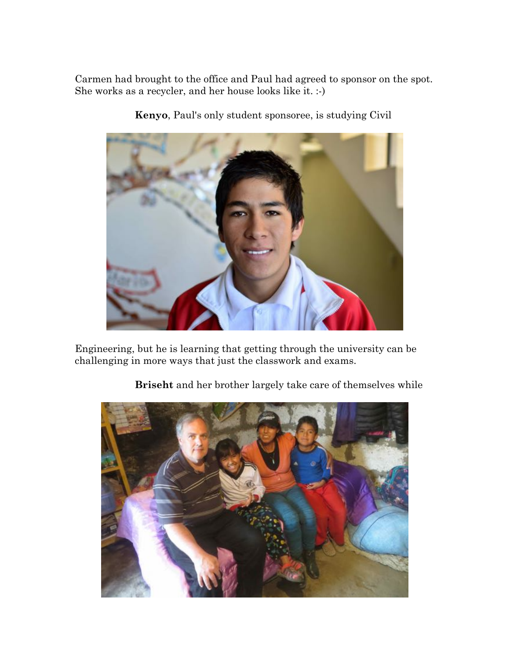Carmen had brought to the office and Paul had agreed to sponsor on the spot. She works as a recycler, and her house looks like it. :-)



**Kenyo**, Paul's only student sponsoree, is studying Civil

Engineering, but he is learning that getting through the university can be challenging in more ways that just the classwork and exams.



**Briseht** and her brother largely take care of themselves while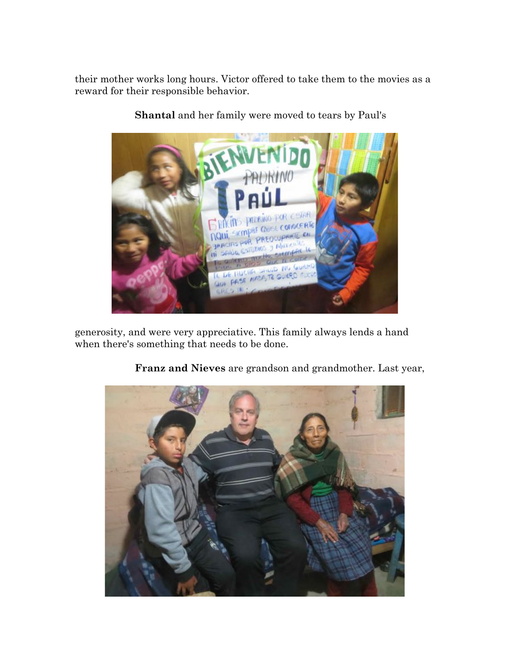their mother works long hours. Victor offered to take them to the movies as a reward for their responsible behavior.



**Shantal** and her family were moved to tears by Paul's

generosity, and were very appreciative. This family always lends a hand when there's something that needs to be done.



**Franz and Nieves** are grandson and grandmother. Last year,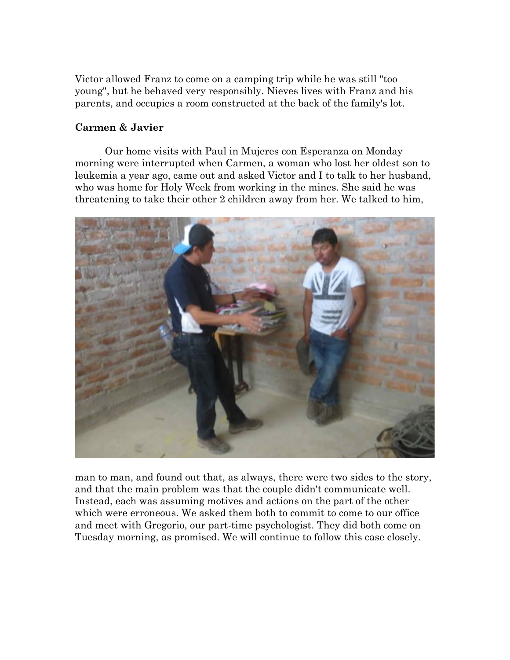Victor allowed Franz to come on a camping trip while he was still "too young", but he behaved very responsibly. Nieves lives with Franz and his parents, and occupies a room constructed at the back of the family's lot.

#### **Carmen & Javier**

Our home visits with Paul in Mujeres con Esperanza on Monday morning were interrupted when Carmen, a woman who lost her oldest son to leukemia a year ago, came out and asked Victor and I to talk to her husband, who was home for Holy Week from working in the mines. She said he was threatening to take their other 2 children away from her. We talked to him,



man to man, and found out that, as always, there were two sides to the story, and that the main problem was that the couple didn't communicate well. Instead, each was assuming motives and actions on the part of the other which were erroneous. We asked them both to commit to come to our office and meet with Gregorio, our part-time psychologist. They did both come on Tuesday morning, as promised. We will continue to follow this case closely.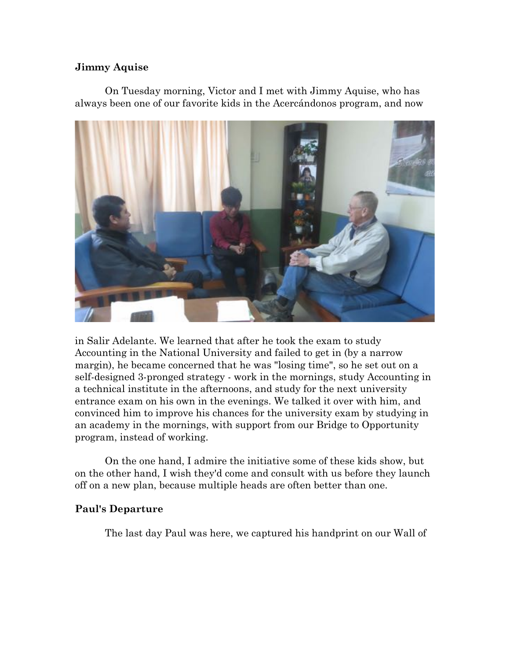#### **Jimmy Aquise**

On Tuesday morning, Victor and I met with Jimmy Aquise, who has always been one of our favorite kids in the Acercándonos program, and now



in Salir Adelante. We learned that after he took the exam to study Accounting in the National University and failed to get in (by a narrow margin), he became concerned that he was "losing time", so he set out on a self-designed 3-pronged strategy - work in the mornings, study Accounting in a technical institute in the afternoons, and study for the next university entrance exam on his own in the evenings. We talked it over with him, and convinced him to improve his chances for the university exam by studying in an academy in the mornings, with support from our Bridge to Opportunity program, instead of working.

On the one hand, I admire the initiative some of these kids show, but on the other hand, I wish they'd come and consult with us before they launch off on a new plan, because multiple heads are often better than one.

#### **Paul's Departure**

The last day Paul was here, we captured his handprint on our Wall of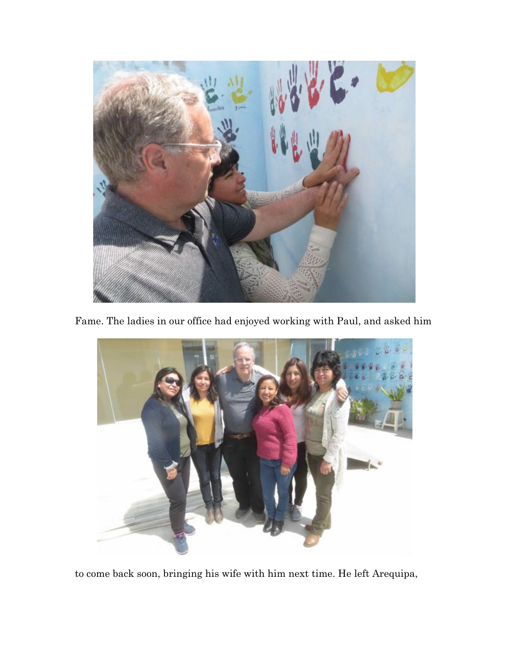

Fame. The ladies in our office had enjoyed working with Paul, and asked him



to come back soon, bringing his wife with him next time. He left Arequipa,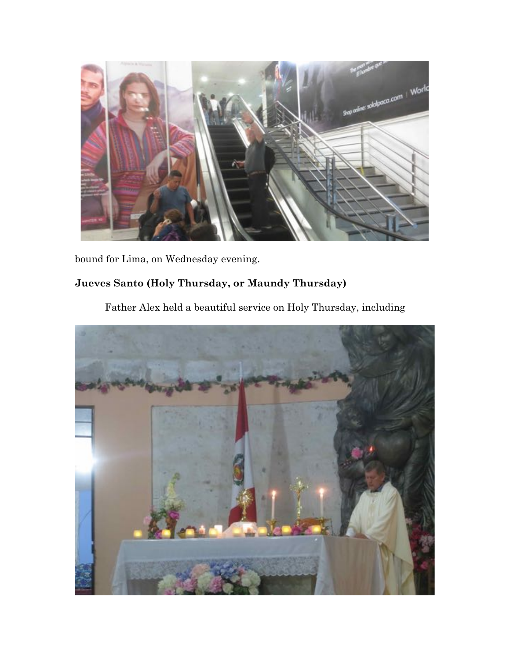

bound for Lima, on Wednesday evening.

## **Jueves Santo (Holy Thursday, or Maundy Thursday)**

Father Alex held a beautiful service on Holy Thursday, including

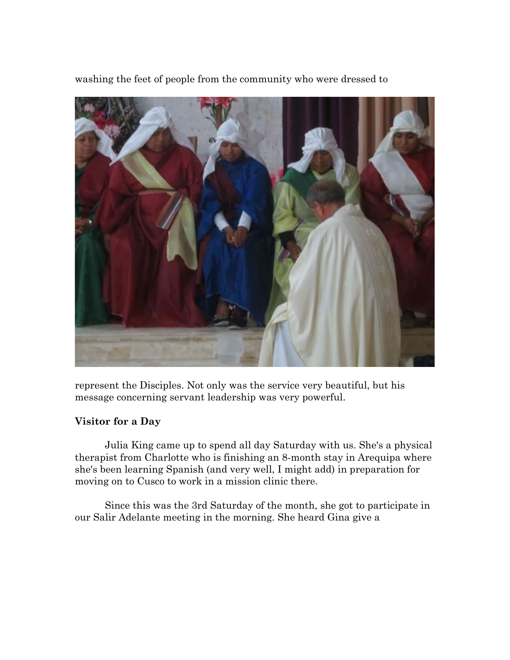

washing the feet of people from the community who were dressed to

represent the Disciples. Not only was the service very beautiful, but his message concerning servant leadership was very powerful.

### **Visitor for a Day**

Julia King came up to spend all day Saturday with us. She's a physical therapist from Charlotte who is finishing an 8-month stay in Arequipa where she's been learning Spanish (and very well, I might add) in preparation for moving on to Cusco to work in a mission clinic there.

Since this was the 3rd Saturday of the month, she got to participate in our Salir Adelante meeting in the morning. She heard Gina give a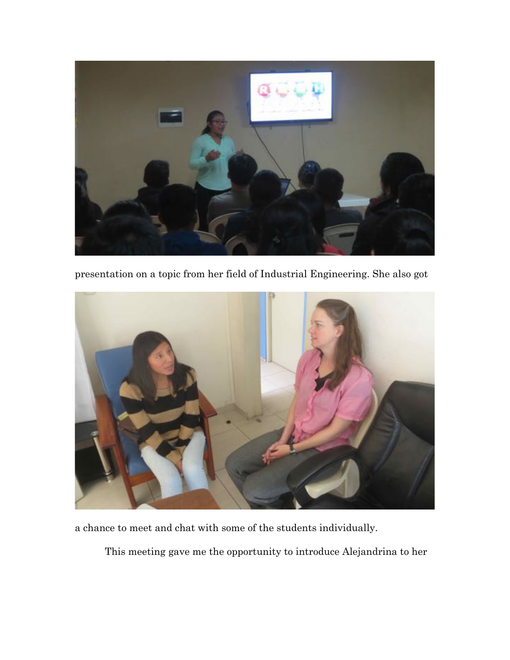

presentation on a topic from her field of Industrial Engineering. She also got



a chance to meet and chat with some of the students individually.

This meeting gave me the opportunity to introduce Alejandrina to her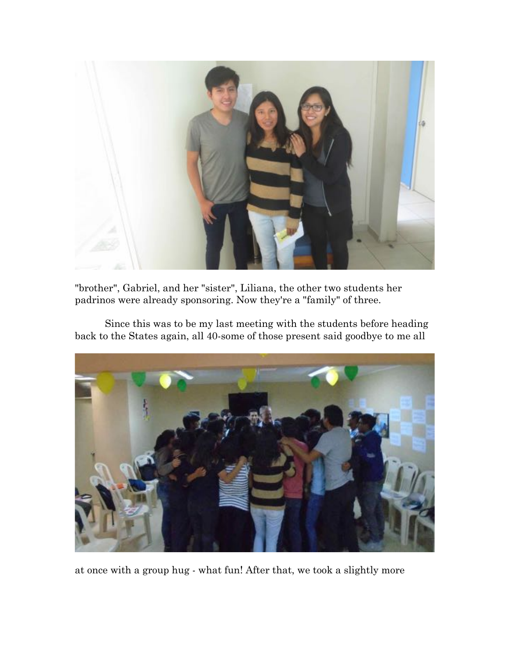

"brother", Gabriel, and her "sister", Liliana, the other two students her padrinos were already sponsoring. Now they're a "family" of three.

Since this was to be my last meeting with the students before heading back to the States again, all 40-some of those present said goodbye to me all



at once with a group hug - what fun! After that, we took a slightly more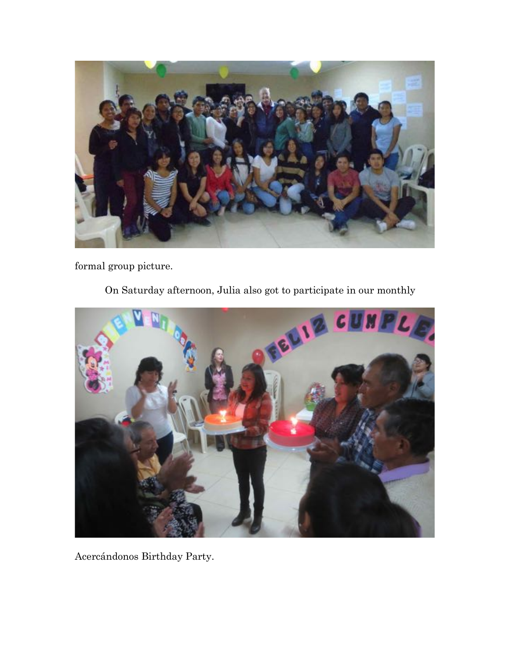

formal group picture.

On Saturday afternoon, Julia also got to participate in our monthly



Acercándonos Birthday Party.